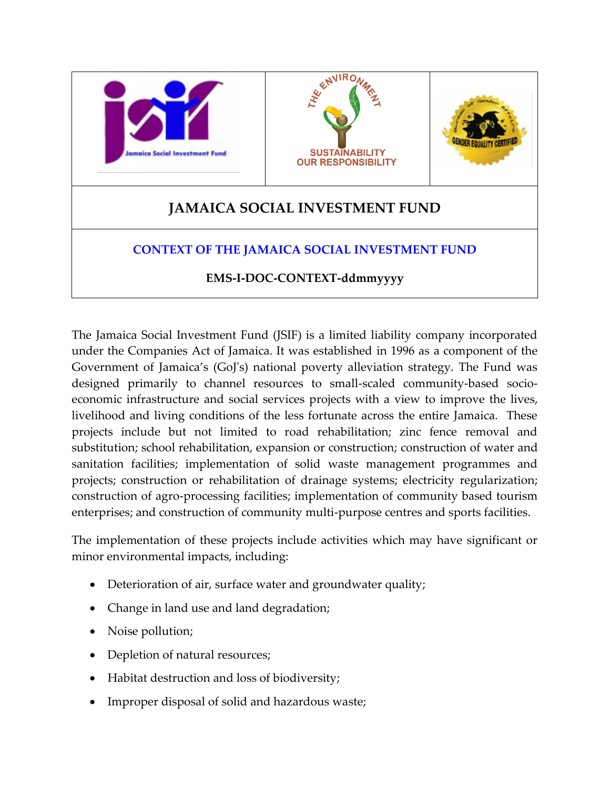

The Jamaica Social Investment Fund (JSIF) is a limited liability company incorporated under the Companies Act of Jamaica. It was established in 1996 as a component of the Government of Jamaica's (GoJ's) national poverty alleviation strategy. The Fund was designed primarily to channel resources to small-scaled community-based socioeconomic infrastructure and social services projects with a view to improve the lives, livelihood and living conditions of the less fortunate across the entire Jamaica. These projects include but not limited to road rehabilitation; zinc fence removal and substitution; school rehabilitation, expansion or construction; construction of water and sanitation facilities; implementation of solid waste management programmes and projects; construction or rehabilitation of drainage systems; electricity regularization; construction of agro-processing facilities; implementation of community based tourism enterprises; and construction of community multi-purpose centres and sports facilities.

The implementation of these projects include activities which may have significant or minor environmental impacts, including:

- Deterioration of air, surface water and groundwater quality;
- Change in land use and land degradation;
- Noise pollution;
- Depletion of natural resources;
- Habitat destruction and loss of biodiversity;
- Improper disposal of solid and hazardous waste;